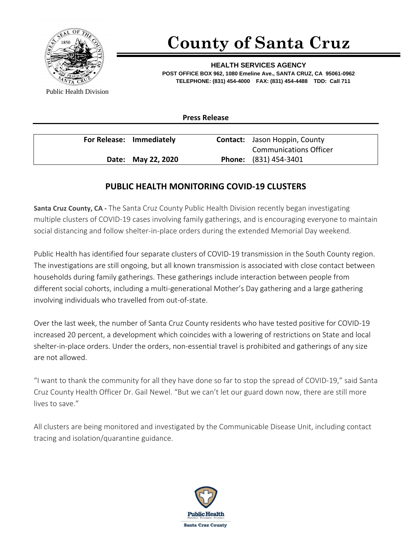

## **County of Santa Cruz**

**HEALTH SERVICES AGENCY POST OFFICE BOX 962, 1080 Emeline Ave., SANTA CRUZ, CA 95061-0962 TELEPHONE: (831) 454-4000 FAX: (831) 454-4488 TDD: Call 711**

Public Health Division

**Press Release**

| For Release: Immediately |                    | <b>Contact:</b> Jason Hoppin, County |
|--------------------------|--------------------|--------------------------------------|
|                          |                    | <b>Communications Officer</b>        |
|                          | Date: May 22, 2020 | <b>Phone:</b> (831) 454-3401         |

## **PUBLIC HEALTH MONITORING COVID-19 CLUSTERS**

**Santa Cruz County, CA -** The Santa Cruz County Public Health Division recently began investigating multiple clusters of COVID-19 cases involving family gatherings, and is encouraging everyone to maintain social distancing and follow shelter-in-place orders during the extended Memorial Day weekend.

Public Health has identified four separate clusters of COVID-19 transmission in the South County region. The investigations are still ongoing, but all known transmission is associated with close contact between households during family gatherings. These gatherings include interaction between people from different social cohorts, including a multi-generational Mother's Day gathering and a large gathering involving individuals who travelled from out-of-state.

Over the last week, the number of Santa Cruz County residents who have tested positive for COVID-19 increased 20 percent, a development which coincides with a lowering of restrictions on State and local shelter-in-place orders. Under the orders, non-essential travel is prohibited and gatherings of any size are not allowed.

"I want to thank the community for all they have done so far to stop the spread of COVID-19," said Santa Cruz County Health Officer Dr. Gail Newel. "But we can't let our guard down now, there are still more lives to save."

All clusters are being monitored and investigated by the Communicable Disease Unit, including contact tracing and isolation/quarantine guidance.